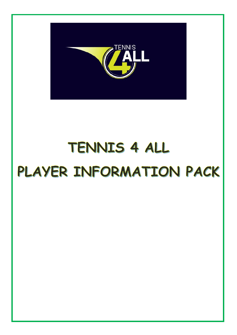

# TENNIS 4 ALL PLAYER INFORMATION PACK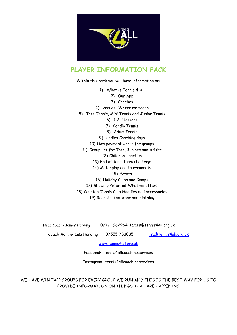

### **PLAYER INFORMATION PACK**

Within this pack you will have information on:

- 1) What is Tennis 4 All
	- 2) Our App
		- 3) Coaches
- 4) Venues -Where we teach
- 5) Tots Tennis, Mini Tennis and Junior Tennis
	- 6) 1-2-1 lessons
	- 7) Cardio Tennis
	- 8) Adult Tennis
	- 9) Ladies Coaching days
	- 10) How payment works for groups
	- 11) Group list for Tots, Juniors and Adults 12) Children's parties
		- 13) End of term team challenge
		- 14) Matchplay and tournaments
			- 15) Events
			- 16) Holiday Clubs and Camps
		- 17) Showing Potential-What we offer?
- 18) Caunton Tennis Club Hoodies and accessories

19) Rackets, footwear and clothing

Head Coach- James Harding 07771 962964 [James@tennis4all.org.uk](mailto:James@tennis4all.org.uk)

Coach Admin-Lisa Harding 07555 783085 [lisa@tennis4all.org.uk](mailto:lisa@tennis4all.org.uk)

[www.tennis4all.org.uk](http://www.tennis4all.org.uk/)

Facebook- tennis4allcoachingservices

Instagram- tennis4allcoachingservices

WE HAVE WHATAPP GROUPS FOR EVERY GROUP WE RUN AND THIS IS THE BEST WAY FOR US TO PROVIDE INFORMATION ON THINGS THAT ARE HAPPENING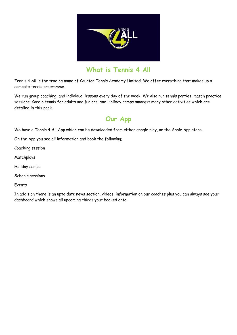

### **What is Tennis 4 All**

Tennis 4 All is the trading name of Caunton Tennis Academy Limited. We offer everything that makes up a compete tennis programme.

We run group coaching, and individual lessons every day of the week. We also run tennis parties, match practice sessions, Cardio tennis for adults and juniors, and Holiday camps amongst many other activities which are detailed in this pack.

# **Our App**

We have a Tennis 4 All App which can be downloaded from either google play, or the Apple App store.

On the App you see all information and book the following;

Coaching session

Matchplays

Holiday camps

Schools sessions

Events

In addition there is an upto date news section, videos, information on our coaches plus you can always see your dashboard which shows all upcoming things your booked onto.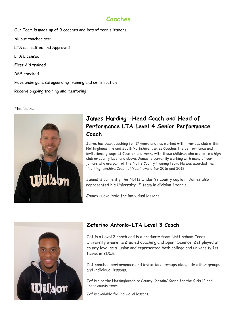### **Coaches**

Our Team is made up of 9 coaches and lots of tennis leaders. All our coaches are; LTA accredited and Approved LTA Licensed First Aid trained DBS checked Have undergone safeguarding training and certification Receive ongoing training and mentoring

#### The Team:



### **James Harding -Head Coach and Head of Performance LTA Level 4 Senior Performance Coach**

James has been coaching for 17 years and has worked within various club within Nottinghamshire and South Yorkshire. James Coaches the performance and invitational groups at Caunton and works with those children who aspire to a high club or county level and above. James is currently working with many of our juniors who are part of the Notts County training team. He was awarded the 'Nottinghamshire Coach of Year' award for 2016 and 2018.

James is currently the Notts Under 9s county captain. James also represented his University 1<sup>st</sup> team in division 1 tennis.

James is available for individual lessons.



### **Zeferino Antonio-LTA Level 3 Coach**

Zef is a Level 3 coach and is a graduate from Nottingham Trent University where he studied Coaching and Sport Science. Zef played at county level as a junior and represented both college and university 1st teams in BUCS.

Zef coaches performance and invitational groups alongside other groups and individual lessons.

Zef is also the Nottinghamshire County Captain/ Coach for the Girls 12 and under county team.

Zef is available for individual lessons.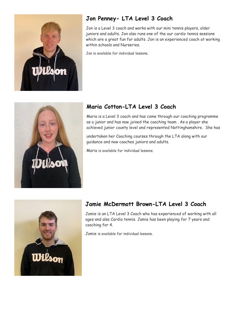

### **Jon Penney- LTA Level 3 Coach**

Jon is a Level 3 coach and works with our mini tennis players, older juniors and adults. Jon also runs one of the our cardio tennis sessions which are a great fun for adults. Jon is an experienced coach at working within schools and Nurseries.

Jon is available for individual lessons.



### **Maria Cotton-LTA Level 3 Coach**

Maria is a Level 3 coach and has come through our coaching programme as a junior and has now joined the coaching team . As a player she achieved junior county level and represented Nottinghamshire. She has

undertaken her Coaching courses through the LTA along with our guidance and now coaches juniors and adults.

Maria is available for individual lessons.



### **Jamie McDermott Brown-LTA Level 3 Coach**

Jamie is an LTA Level 3 Coach who has experienced of working with all ages and also Cardio tennis. Jamie has been playing for 7 years and coaching for 4.

Jamie is available for individual lessons.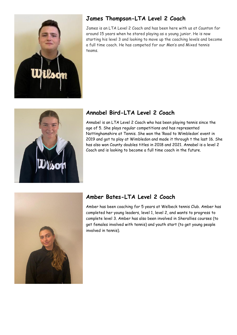

### **James Thompson-LTA Level 2 Coach**

James is an LTA Level 2 Coach and has been here with us at Caunton for around 15 years when he stared playing as a young junior. He is now starting his level 3 and looking to move up the coaching levels and become a full time coach. He has competed for our Men's and Mixed tennis teams.



### **Annabel Bird-LTA Level 2 Coach**

Annabel is an LTA Level 2 Coach who has been playing tennis since the age of 5. She plays regular competitions and has represented Nottinghamshire at Tennis. She won the 'Road to Wimbledon' event in 2019 and got to play at Wimbledon and made it through t the last 16. She has also won County doubles titles in 2018 and 2021. Annabel is a level 2 Coach and is looking to become a full time coach in the future.



### **Amber Bates-LTA Level 2 Coach**

Amber has been coaching for 5 years at Welbeck tennis Club. Amber has completed her young leaders, level 1, level 2, and wants to progress to complete level 3. Amber has also been involved in Sherallies courses (to get females involved with tennis) and youth start (to get young people involved in tennis).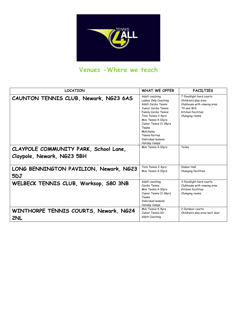

# **Venues -Where we teach**

| <b>LOCATION</b>                               | <b>WHAT WE OFFER</b>                                                                                                                                                                                                                                                       | <b>FACILTIES</b>                                                                                                                       |
|-----------------------------------------------|----------------------------------------------------------------------------------------------------------------------------------------------------------------------------------------------------------------------------------------------------------------------------|----------------------------------------------------------------------------------------------------------------------------------------|
| CAUNTON TENNIS CLUB, Newark, NG23 6AS         | Adult coaching<br>Ladies Only Coaching<br>Adult Cardio Tennis<br>Junior Cardio Tennis<br>Family Cardio Tennis<br>Tots Tennis 2-4yrs<br>Mini Tennis 4-10yrs<br>Junior Tennis 11-18yrs<br>Teams<br>Matchplay<br><b>Tennis Parties</b><br>Individual lessons<br>Holiday Camps | 7 floodlight hard courts<br>Children's play area<br>Clubhouse with viewing area<br>TV and Wifi<br>Kitchen facilities<br>Changing rooms |
| CLAYPOLE COMMUNITY PARK, School Lane,         | Mini Tennis 4-10yrs                                                                                                                                                                                                                                                        | Toiles                                                                                                                                 |
| Claypole, Newark, NG23 5BH                    |                                                                                                                                                                                                                                                                            |                                                                                                                                        |
| LONG BENNINGTON PAVILION, Newark, NG23<br>5DJ | Tots Tennis 2-4yrs<br>Mini Tennis 4-10yrs                                                                                                                                                                                                                                  | <b>Indoor Hall</b><br>Changing facilities                                                                                              |
| WELBECK TENNIS CLUB, Worksop, S80 3NB         | Adult coaching<br>Cardio Tennis<br>Mini Tennis 4-10yrs<br>Junior Tennis 11-18yrs<br>Teams<br><b>Individual lessons</b><br>Holiday Camps                                                                                                                                    | 3 floodlight hard courts<br>Clubhouse with viewing area<br>Kitchen facilities<br>Changing rooms                                        |
| WINTHORPE TENNIS COURTS, Newark, NG24<br>2NL  | Mini Tennis 4-9yrs<br>Junior Tennis 10+<br>Adult Coaching                                                                                                                                                                                                                  | 2 Outdoor courts<br>Children's play area next door                                                                                     |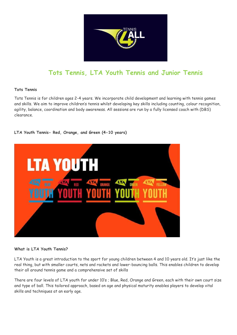

# **Tots Tennis, LTA Youth Tennis and Junior Tennis**

#### **Tots Tennis**

Tots Tennis is for children ages 2-4 years. We incorporate child development and learning with tennis games and skills. We aim to improve children's tennis whilst developing key skills including counting, colour recognition, agility, balance, coordination and body awareness. All sessions are run by a fully licensed coach with (DBS) clearance.

#### **LTA Youth Tennis- Red, Orange, and Green (4-10 years)**



#### **What is LTA Youth Tennis?**

LTA Youth is a great introduction to the sport for young children between 4 and 10 years old. It's just like the real thing, but with smaller courts, nets and rackets and lower-bouncing balls. This enables children to develop their all around tennis game and a comprehensive set of skills

There are four levels of LTA youth for under 10's ; Blue, Red, Orange and Green, each with their own court size and type of ball. This tailored approach, based on age and physical maturity enables players to develop vital skills and techniques at an early age.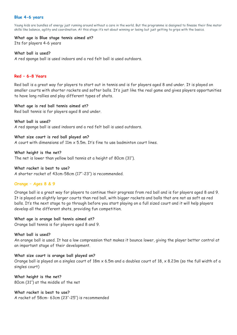#### **Blue 4-6 years**

Young kids are bundles of energy just running around without a care in the world. But the programme is designed to finesse their fine motor skills like balance, agility and coordination. At this stage it's not about winning or losing but just getting to grips with the basics.

#### **What age is Blue stage tennis aimed at?**

Its for players 4-6 years

#### **What ball is used?**

A red sponge ball is used indoors and a red felt ball is used outdoors.

#### **Red – 6-8 Years**

Red ball is a great way for players to start out in tennis and is for players aged 8 and under. It is played on smaller courts with shorter rackets and softer balls. It's just like the real game and gives players opportunities to have long rallies and play different types of shots.

#### **What age is red ball tennis aimed at?**

Red ball tennis is for players aged 8 and under.

**What ball is used?** A red sponge ball is used indoors and a red felt ball is used outdoors.

#### **What size court is red ball played on?**

A court with dimensions of 11m x 5.5m. It's fine to use badminton court lines.

**What height is the net?** The net is lower than yellow ball tennis at a height of 80cm (31″).

#### **What racket is best to use?**

A shorter racket of 43cm-58cm (17″-23″) is recommended.

#### **Orange – Ages 8 & 9**

Orange ball is a great way for players to continue their progress from red ball and is for players aged 8 and 9. It is played on slightly larger courts than red ball, with bigger rackets and balls that are not as soft as red balls. It's the next stage to go through before you start playing on a full sized court and it will help players develop all the different shots, providing fun competition.

#### **What age is orange ball tennis aimed at?**

Orange ball tennis is for players aged 8 and 9.

#### **What ball is used?**

An orange ball is used. It has a low compression that makes it bounce lower, giving the player better control at an important stage of their development.

#### **What size court is orange ball played on?**

Orange ball is played on a singles court of  $18m \times 6.5m$  and a doubles court of  $18 \times 8.23m$  (so the full width of a singles court)

**What height is the net?** 80cm (31″) at the middle of the net

**What racket is best to use?** A racket of 58cm- 63cm (23″-25″) is recommended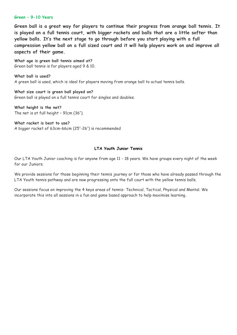#### **Green – 9-10 Years**

**Green ball is a great way for players to continue their progress from orange ball tennis. It is played on a full tennis court, with bigger rackets and balls that are a little softer than yellow balls. It's the next stage to go through before you start playing with a full compression yellow ball on a full sized court and it will help players work on and improve all aspects of their game.**

**What age is green ball tennis aimed at?** Green ball tennis is for players aged 9 & 10.

**What ball is used?** A green ball is used, which is ideal for players moving from orange ball to actual tennis balls.

**What size court is green ball played on?** Green ball is played on a full tennis court for singles and doubles.

**What height is the net?** The net is at full height – 91cm (36″).

**What racket is best to use?** A bigger racket of 63cm-66cm (25″-26″) is recommended

#### **LTA Youth Junior Tennis**

Our LTA Youth Junior coaching is for anyone from age 11 - 18 years. We have groups every night of the week for our Juniors.

We provide sessions for those beginning their tennis journey or for those who have already passed through the LTA Youth tennis pathway and are now progressing onto the full court with the yellow tennis balls.

Our sessions focus on improving the 4 keys areas of tennis- Technical, Tactical, Physical and Mental. We incorporate this into all sessions in a fun and game based approach to help maximise learning.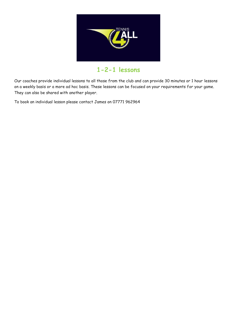

### **1-2-1 lessons**

Our coaches provide individual lessons to all those from the club and can provide 30 minutes or 1 hour lessons on a weekly basis or a more ad hoc basis. These lessons can be focused on your requirements for your game. They can also be shared with another player.

To book an individual lesson please contact James on 07771 962964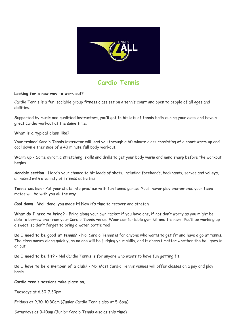

### **Cardio Tennis**

#### **Looking for a new way to work out?**

Cardio Tennis is a fun, sociable group fitness class set on a tennis court and open to people of all ages and abilities.

Supported by music and qualified instructors, you'll get to hit lots of tennis balls during your class and have a great cardio workout at the same time.

#### **What is a typical class like?**

Your trained Cardio Tennis instructor will lead you through a 60 minute class consisting of a short warm up and cool down either side of a 40 minute full body workout.

**Warm up** - Some dynamic stretching, skills and drills to get your body warm and mind sharp before the workout begins

**Aerobic section** - Here's your chance to hit loads of shots, including forehands, backhands, serves and volleys, all mixed with a variety of fitness activities

**Tennis section** - Put your shots into practice with fun tennis games. You'll never play one-on-one; your team mates will be with you all the way

**Cool down** - Well done, you made it! Now it's time to recover and stretch

**What do I need to bring?** - Bring along your own racket if you have one, if not don't worry as you might be able to borrow one from your Cardio Tennis venue. Wear comfortable gym kit and trainers. You'll be working up a sweat, so don't forget to bring a water bottle too!

**Do I need to be good at tennis?** - No! Cardio Tennis is for anyone who wants to get fit and have a go at tennis. The class moves along quickly, so no one will be judging your skills, and it doesn't matter whether the ball goes in or out.

**Do I need to be fit?** - No! Cardio Tennis is for anyone who wants to have fun getting fit.

**Do I have to be a member of a club?** - No! Most Cardio Tennis venues will offer classes on a pay and play basis.

#### **Cardio tennis sessions take place on;**

Tuesdays at 6.30-7.30pm

Fridays at 9.30-10.30am (Junior Cardio Tennis also at 5-6pm)

Saturdays at 9-10am (Junior Cardio Tennis also at this time)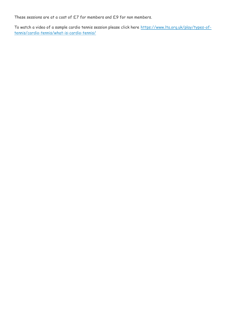These sessions are at a cost of £7 for members and £9 for non members.

To watch a video of a sample cardio tennis session please click here [https://www.lta.org.uk/play/types-of](https://www.lta.org.uk/play/types-of-tennis/cardio-tennis/what-is-cardio-tennis/)[tennis/cardio-tennis/what-is-cardio-tennis/](https://www.lta.org.uk/play/types-of-tennis/cardio-tennis/what-is-cardio-tennis/)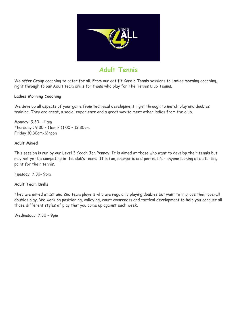

### **Adult Tennis**

We offer Group coaching to cater for all. From our get fit Cardio Tennis sessions to Ladies morning coaching, right through to our Adult team drills for those who play for The Tennis Club Teams.

#### **Ladies Morning Coaching**

We develop all aspects of your game from technical development right through to match play and doubles training. They are great, a social experience and a great way to meet other ladies from the club.

Monday: 9.30 – 11am Thursday : 9.30 – 11am / 11.00 – 12.30pm Friday 10.30am-12noon

#### **Adult Mixed**

This session is run by our Level 3 Coach Jon Penney. It is aimed at those who want to develop their tennis but may not yet be competing in the club's teams. It is fun, energetic and perfect for anyone looking at a starting point for their tennis.

Tuesday: 7.30- 9pm

#### **Adult Team Drills**

They are aimed at 1st and 2nd team players who are regularly playing doubles but want to improve their overall doubles play. We work on positioning, volleying, court awareness and tactical development to help you conquer all those different styles of play that you come up against each week.

Wednesday: 7.30 – 9pm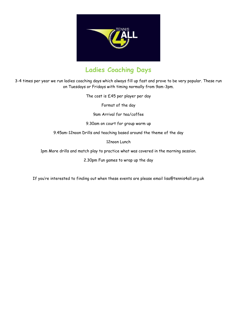

# **Ladies Coaching Days**

3-4 times per year we run ladies coaching days which always fill up fast and prove to be very popular. These run on Tuesdays or Fridays with timing normally from 9am-3pm.

The cost is £45 per player per day

Format of the day

9am Arrival for tea/coffee

9.30am on court for group warm up

9.45am-12noon Drills and teaching based around the theme of the day

12noon Lunch

1pm More drills and match play to practice what was covered in the morning session.

2.30pm Fun games to wrap up the day

If you're interested to finding out when these events are please email lisa@tennis4all.org.uk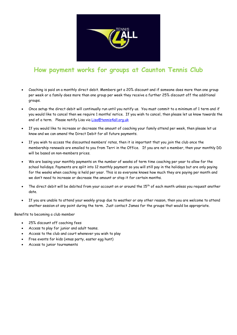

### **How payment works for groups at Caunton Tennis Club**

- Coaching is paid on a monthly direct debit. Members get a 20% discount and if someone does more than one group per week or a family does more than one group per week they receive a further 25% discount off the additional groups.
- Once setup the direct debit will continually run until you notify us. You must commit to a minimum of 1 term and if you would like to cancel then we require 1 months' notice. If you wish to cancel, then please let us know towards the end of a term. Please notify Lisa via [Lisa@tennis4all.org.uk](mailto:Lisa@tennis4all.org.uk)
- If you would like to increase or decrease the amount of coaching your family attend per week, then please let us know and we can amend the Direct Debit for all future payments.
- If you wish to access the discounted members' rates, then it is important that you join the club once the membership renewals are emailed to you from Terri in the Office. If you are not a member, then your monthly DD will be based on non-members prices.
- We are basing your monthly payments on the number of weeks of term time coaching per year to allow for the school holidays. Payments are split into 12 monthly payment so you will still pay in the holidays but are only paying for the weeks when coaching is held per year. This is so everyone knows how much they are paying per month and we don't need to increase or decrease the amount or stop it for certain months.
- The direct debit will be debited from your account on or around the  $15<sup>th</sup>$  of each month unless you request another date.
- If you are unable to attend your weekly group due to weather or any other reason, then you are welcome to attend another session at any point during the term. Just contact James for the groups that would be appropriate.

Benefits to becoming a club member

- 25% discount off coaching fees
- Access to play for junior and adult teams.
- Access to the club and court whenever you wish to play
- Free events for kids (xmas party, easter egg hunt)
- Access to junior tournaments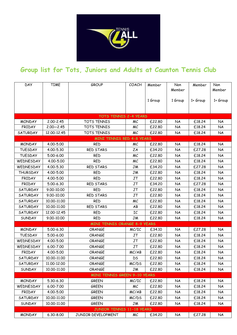

# **Group list for Tots, Juniors and Adults at Caunton Tennis Club**

| <b>DAY</b>      | <b>TIME</b>   | <b>GROUP</b>                        | COACH     | Member  | Non<br>Member | Member   | Non<br>Member |
|-----------------|---------------|-------------------------------------|-----------|---------|---------------|----------|---------------|
|                 |               |                                     |           | 1 Group | 1 Group       | 1+ Group | 1+ Group      |
|                 |               |                                     |           |         |               |          |               |
|                 |               | <b>TOTS TENNIS 2-4 YEARS</b>        |           |         |               |          |               |
| <b>MONDAY</b>   | 2.00-2.45     | TOTS TENNIS                         | МC        | £22.80  | <b>NA</b>     | £18.24   | <b>NA</b>     |
| <b>FRIDAY</b>   | $2.00 - 2.45$ | TOTS TENNIS                         | МC        | £22.80  | <b>NA</b>     | £18.24   | <b>NA</b>     |
| <b>SATURDAY</b> | 12.00-12.45   | TOTS TENNIS                         | МC        | £22.80  | <b>NA</b>     | £18.24   | <b>NA</b>     |
|                 |               | <b>MINI TENNIS RED 4-8 YEARS</b>    |           |         |               |          |               |
| <b>MONDAY</b>   | 4.00-5.00     | <b>RED</b>                          | МC        | £22.80  | <b>NA</b>     | £18.24   | <b>NA</b>     |
| <b>TUESDAY</b>  | 4.00-5.30     | RED STARS                           | ZΑ        | £34.20  | <b>NA</b>     | £27.28   | <b>NA</b>     |
| <b>TUESDAY</b>  | 5.00-6.00     | <b>RED</b>                          | МC        | £22.80  | <b>NA</b>     | £18.24   | <b>NA</b>     |
| WEDNESDAY       | 4.00-5.00     | <b>RED</b>                          | МC        | £22.80  | NA            | £18.24   | <b>NA</b>     |
| WEDNESDAY       | 4.00-5.30     | <b>RED STARS</b>                    | <b>JM</b> | £34.20  | <b>NA</b>     | £27.28   | <b>NA</b>     |
| <b>THURSDAY</b> | 4.00-5.00     | <b>RED</b>                          | JM        | £22.80  | <b>NA</b>     | £18.24   | <b>NA</b>     |
| <b>FRIDAY</b>   | 4.00-5.00     | <b>RED</b>                          | <b>JT</b> | £22.80  | <b>NA</b>     | £18.24   | <b>NA</b>     |
| <b>FRIDAY</b>   | 5.00-6.30     | RED STARS                           | JT        | £34.20  | <b>NA</b>     | £27.28   | <b>NA</b>     |
| <b>SATURDAY</b> | 9.00-10.00    | <b>RED</b>                          | JT        | £22.80  | <b>NA</b>     | £18.24   | <b>NA</b>     |
| <b>SATURDAY</b> | 9.00-10.00    | RED STARS                           | JT        | £22.80  | <b>NA</b>     | £18.24   | <b>NA</b>     |
| <b>SATURDAY</b> | 10.00-11.00   | <b>RED</b>                          | МC        | £22.80  | <b>NA</b>     | £18.24   | <b>NA</b>     |
| <b>SATURDAY</b> | 10.00-11.00   | RED STARS                           | AB        | £22.80  | <b>NA</b>     | £18.24   | <b>NA</b>     |
| <b>SATURDAY</b> | 12.00-12.45   | <b>RED</b>                          | IC        | £22.80  | <b>NA</b>     | £18.24   | <b>NA</b>     |
| <b>SUNDAY</b>   | 9.00-10.00    | <b>RED</b>                          | JM        | £22.80  | <b>NA</b>     | £18.24   | <b>NA</b>     |
|                 |               | <b>MINI TENNIS ORANGE 8-9 YEARS</b> |           |         |               |          |               |
| <b>MONDAY</b>   | 5.00-6.30     | <b>ORANGE</b>                       | MC/IC     | £34.10  | <b>NA</b>     | £27.28   | <b>NA</b>     |
| <b>TUESDAY</b>  | 5.00-6.00     | <b>ORANGE</b>                       | JT        | £22.80  | <b>NA</b>     | £18.24   | <b>NA</b>     |
| WEDNESDAY       | 4.00-5.00     | <b>ORANGE</b>                       | JT        | £22.80  | <b>NA</b>     | £18.24   | <b>NA</b>     |
| WEDNESDAY       | 6.00-7.00     | ORANGE                              | JT        | £22.80  | <b>NA</b>     | £18.24   | <b>NA</b>     |
| <b>FRIDAY</b>   | 4.00-5.00     | <b>ORANGE</b>                       | MC/AB     | £22.80  | <b>NA</b>     | £18.24   | <b>NA</b>     |
| <b>SATURDAY</b> | 10.00-11.00   | <b>ORANGE</b>                       | DS.       | £22.80  | <b>NA</b>     | £18.24   | <b>NA</b>     |
| SATURDAY        | 11.00-12.00   | ORANGE                              | MC/DS     | £22.80  | <b>NA</b>     | £18.24   | <b>NA</b>     |
| <b>SUNDAY</b>   | 10.00-11.00   | ORANGE                              | JM        | £22.80  | NA            | £18.24   | <b>NA</b>     |
|                 |               | <b>MINI TENNIS GREEN 9-10 YEARS</b> |           |         |               |          |               |
| <b>MONDAY</b>   | 5.30-6.30     | <b>GREEN</b>                        | MC/IC     | £22.80  | <b>NA</b>     | £18.24   | <b>NA</b>     |
| WEDNESDAY       | 6.00-7.00     | <b>GREEN</b>                        | МC        | £22.80  | NA            | £18.24   | <b>NA</b>     |
| <b>FRIDAY</b>   | 4.00-5.00     | <b>GREEN</b>                        | MC/AB     | £22.80  | NA            | £18.24   | <b>NA</b>     |
| <b>SATURDAY</b> | 10.00-11.00   | GREEN                               | MC/DS     | £22.80  | NA            | £18.24   | <b>NA</b>     |
| <b>SUNDAY</b>   | 10.00-11.00   | <b>GREEN</b>                        | JM        | £22.80  | NA            | £18.24   | NA            |
|                 |               | <b>JUNIOR TENNIS 11-18 YEARS</b>    |           |         |               |          |               |
| <b>MONDAY</b>   | 6.30-8.00     | JUNIOR DEVELOPMENT                  | МC        | £34.20  | NA            | £27.28   | <b>NA</b>     |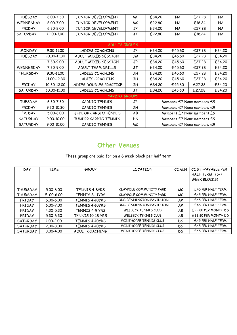| <b>TUESDAY</b>       | 6.00-7.30     | JUNIOR DEVELOPMENT        | МC  | £34.20                     | <b>NA</b> | £27.28 | <b>NA</b> |  |
|----------------------|---------------|---------------------------|-----|----------------------------|-----------|--------|-----------|--|
| <b>WEDNESDAY</b>     | $6.00 - 7.00$ | <b>JUNIOR DEVELOPMENT</b> | МC  | £22.80                     | <b>NA</b> | £18.24 | <b>NA</b> |  |
| <b>FRIDAY</b>        | $6.30 - 8.00$ | <b>JUNIOR DEVELOPMENT</b> | JP  | £34.20                     | <b>NA</b> | £27.28 | <b>NA</b> |  |
| <b>SATURDAY</b>      | 12.00-1.00    | JUNIOR DEVELOPMENT        | JT  | £22.80                     | <b>NA</b> | £18.24 | <b>NA</b> |  |
|                      |               |                           |     |                            |           |        |           |  |
| <b>ADULTS GROUPS</b> |               |                           |     |                            |           |        |           |  |
| <b>MONDAY</b>        | 9.30-11.00    | LADIES COACHING           | JP  | £34.20                     | £45.60    | £27.28 | £34.20    |  |
| <b>TUESDAY</b>       | 10.00-11.30   | ADULT MIXED SESSION       | JM  | £34.20                     | £45.60    | £27.28 | £34.20    |  |
|                      | 7.30-9.00     | ADULT MIXED SESSION       | JP  | £34.20                     | £45.60    | £27.28 | £34.20    |  |
| <b>WEDNESDAY</b>     | 7.30-9.00     | ADULT TEAM DRILLS         | JT  | £34.20                     | £45.60    | £27.28 | £34.20    |  |
| THURSDAY             | 9.30-11.00    | LADIES COACHING           | JH  | £34.20                     | £45.60    | £27.28 | £34.20    |  |
|                      | 11.00-12.30   | LADIES COACHING           | JH  | £34.20                     | £45.60    | £27.28 | £34.20    |  |
| <b>FRIDAY</b>        | 10.30-12.00   | LADIES DOUBLES PRACTICE   | JH  | £34.20                     | £45.60    | £27.28 | £34.20    |  |
| <b>SATURDAY</b>      | 10.00-11.00   | LADIES COACHING           | JT  | £34.20                     | £45.60    | £27.28 | £34.20    |  |
| <b>CARDIO GROUPS</b> |               |                           |     |                            |           |        |           |  |
| <b>TUESDAY</b>       | $6.30 - 7.30$ | CARDIO TENNIS             | JP  | Members £7 None members £9 |           |        |           |  |
| <b>FRIDAY</b>        | 9.30-10.30    | CARDIO TENNIS             | JН  | Members £7 None members £9 |           |        |           |  |
| <b>FRIDAY</b>        | 5.00-6.00     | JUNIOR CARDIO TENNIS      | AB  | Members £7 None members £9 |           |        |           |  |
| <b>SATURDAY</b>      | 9.00-10.00    | JUNIOR CARDIO TENNIS      | DS. | Members £7 None members £9 |           |        |           |  |
| <b>SATURDAY</b>      | 9.00-10.00    | CARDIO TENNIS             | МC  | Members £7 None members £9 |           |        |           |  |

# **Other Venues**

### These group are paid for on a 6 week block per half term

| <b>DAY</b>      | TIME          | <b>GROUP</b>         | <b>LOCATION</b>            | COACH | COST-PAYABLE PER<br>HALF TERM (5-7<br>WEEK BLOCKS) |
|-----------------|---------------|----------------------|----------------------------|-------|----------------------------------------------------|
| <b>THURSDAY</b> | 5.00-6.00     | <b>TENNIS 4-8YRS</b> | CLAYPOLE COMMUNITY PARK    | МC    | £45 PER HALF TERM                                  |
| <b>THURSDAY</b> | $5.00 - 6.00$ | TENNIS 8-11YRS       | CLAYPOLE COMMUNITY PARK    | МC    | <b>E45 PER HALF TERM</b>                           |
| <b>FRIDAY</b>   | $5.00 - 6.00$ | TENNIS 4-10YRS       | LONG BENNINGTON PAVILLION  | JM    | £45 PER HALF TERM                                  |
| <b>FRIDAY</b>   | $6.00 - 7.00$ | TENNIS 4-10YRS       | LONG BENNINGTON PAVILLION  | JM    | <b>E45 PER HALF TERM</b>                           |
| <b>FRIDAY</b>   | 4.30-5.30     | TENNIS 4-9 YRS       | <b>WELBECK TENNIS CLUB</b> | AB    | <b>E22.80 PER MONTH DD</b>                         |
| <b>FRIDAY</b>   | 5.30-6.30     | TENNIS 10-18 YRS     | <b>WELBECK TENNIS CLUB</b> | AB    | <b>E22.80 PER MONTH DD</b>                         |
| <b>SATURDAY</b> | 1.00-2.00     | TENNIS 4-10YRS       | WINTHORPE TENNIS CLUB      | DS.   | <b>E45 PER HALF TERM</b>                           |
| <b>SATURDAY</b> | 2.00-3.00     | TENNIS 4-10YRS       | WINTHORPE TENNIS CLUB      | DS.   | <b>E45 PER HALF TERM</b>                           |
| <b>SATURDAY</b> | $3.00 - 4.00$ | ADULT COACHING       | WINTHORPE TENNIS CLUB      | DS    | <b>E45 PER HALF TERM</b>                           |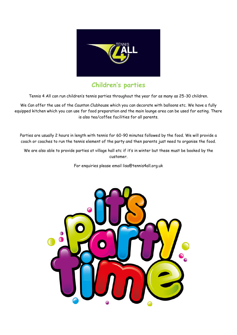

### **Children's parties**

Tennis 4 All can run children's tennis parties throughout the year for as many as 25-30 children.

We Can offer the use of the Caunton Clubhouse which you can decorate with balloons etc. We have a fully equipped kitchen which you can use for food preparation and the main lounge area can be used for eating. There is also tea/coffee facilities for all parents.

Parties are usually 2 hours in length with tennis for 60-90 minutes followed by the food. We will provide a coach or coaches to run the tennis element of the party and then parents just need to organise the food.

We are also able to provide parties at village hall etc if it's in winter but these must be booked by the customer.

For enquiries please email lisa@tennis4all.org.uk

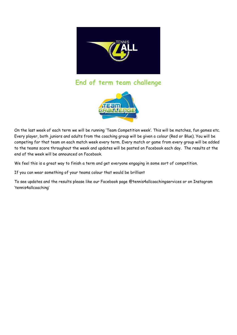

**End of term team challenge**



On the last week of each term we will be running 'Team Competition week'. This will be matches, fun games etc. Every player, both juniors and adults from the coaching group will be given a colour (Red or Blue). You will be competing for that team on each match week every term. Every match or game from every group will be added to the teams score throughout the week and updates will be posted on Facebook each day. The results at the end of the week will be announced on Facebook.

We feel this is a great way to finish a term and get everyone engaging in some sort of competition.

If you can wear something of your teams colour that would be brilliant

To see updates and the results please like our Facebook page @tennis4allcoachingservices or on Instagram 'tennis4allcoaching'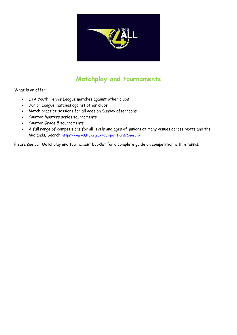

# **Matchplay and tournaments**

What is on offer:

- LTA Youth Tennis League matches against other clubs
- Junior League matches against other clubs
- Match practice sessions for all ages on Sunday afternoons
- Caunton Masters series tournaments
- Caunton Grade 5 tournaments
- A full range of competitions for all levels and ages of juniors at many venues across Notts and the Midlands. Search <https://www3.lta.org.uk/Competitions/Search/>

Please see our Matchplay and tournament booklet for a complete guide on competition within tennis.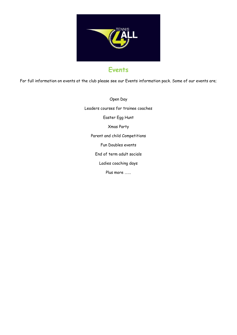

# **Events**

For full information on events at the club please see our Events information pack. Some of our events are;

Open Day Leaders courses for trainee coaches Easter Egg Hunt Xmas Party Parent and child Competitions Fun Doubles events End of term adult socials Ladies coaching days Plus more …….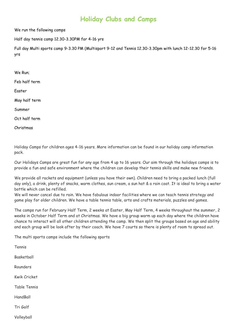### **Holiday Clubs and Camps**

We run the following camps

Half day tennis camp 12.30-3.30PM for 4-16 yrs

Full day Multi sports camp 9-3.30 PM (Multisport 9-12 and Tennis 12.30-3.30pm with lunch 12-12.30 for 5-16 yrs

- We Run;
- Feb half term
- Easter
- May half term
- Summer
- Oct half term

Christmas

Holiday Camps for children ages 4-16 years. More information can be found in our holiday camp information pack.

Our Holidays Camps are great fun for any age from 4 up to 16 years. Our aim through the holidays camps is to provide a fun and safe environment where the children can develop their tennis skills and make new friends.

We provide all rackets and equipment (unless you have their own). Children need to bring a packed lunch (full day only), a drink, plenty of snacks, warm clothes, sun cream, a sun hat & a rain coat. It is ideal to bring a water bottle which can be refilled.

We will never cancel due to rain. We have fabulous indoor facilities where we can teach tennis strategy and game play for older children. We have a table tennis table, arts and crafts materials, puzzles and games.

The camps run for February Half Term, 2 weeks at Easter, May Half Term, 4 weeks throughout the summer, 2 weeks in October Half Term and at Christmas. We have a big group warm up each day where the children have chance to interact will all other children attending the camp. We then split the groups based on age and ability and each group will be look after by their coach. We have 7 courts so there is plenty of room to spread out.

The multi sports camps include the following sports

Tennis Basketball Rounders Kwik Cricket Table Tennis HandBall Tri Golf

Volleyball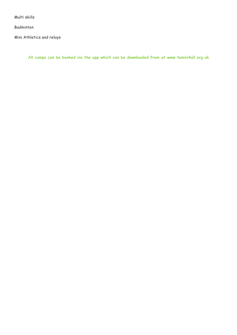Multi skills

Badminton

Mini Athletics and relays

**All camps can be booked via the app which can be downloaded from at www.tennis4all.org.uk**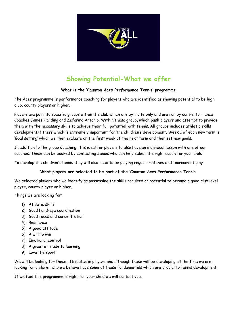

# **Showing Potential-What we offer**

#### **What is the 'Caunton Aces Performance Tennis' programme**

The Aces programme is performance coaching for players who are identified as showing potential to be high club, county players or higher.

Players are put into specific groups within the club which are by invite only and are run by our Performance Coaches James Harding and Zeferino Antonio. Within these group, which push players and attempt to provide them with the necessary skills to achieve their full potential with tennis. All groups includes athletic skills development/fitness which is extremely important for the children's development. Week 1 of each new term is 'Goal setting' which we then evaluate on the first week of the next term and then set new goals.

In addition to the group Coaching, it is ideal for players to also have an individual lesson with one of our coaches. These can be booked by contacting James who can help select the right coach for your child.

To develop the children's tennis they will also need to be playing regular matches and tournament play

#### **What players are selected to be part of the 'Caunton Aces Performance Tennis'**

We selected players who we identify as possessing the skills required or potential to become a good club level player, county player or higher.

Things we are looking for:

- 1) Athletic skills
- 2) Good hand-eye coordination
- 3) Good focus and concentration
- 4) Resilience
- 5) A good attitude
- 6) A will to win
- 7) Emotional control
- 8) A great attitude to learning
- 9) Love the sport

We will be looking for these attributes in players and although these will be developing all the time we are looking for children who we believe have some of these fundamentals which are crucial to tennis development.

If we feel this programme is right for your child we will contact you,